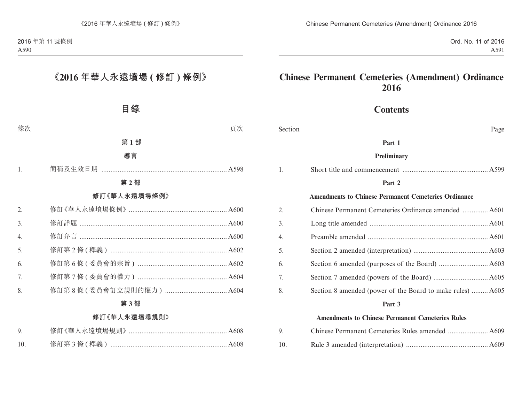## **Contents**

Section Page

#### **Part 1**

#### **Preliminary**

| 1. |                                                             |
|----|-------------------------------------------------------------|
|    | Part 2                                                      |
|    | <b>Amendments to Chinese Permanent Cemeteries Ordinance</b> |
| 2. |                                                             |
| 3. |                                                             |
| 4. |                                                             |
| 5. |                                                             |
| 6. |                                                             |
| 7. |                                                             |
| 8. | Section 8 amended (power of the Board to make rules)  A605  |
|    | Part 3                                                      |
|    | <b>Amendments to Chinese Permanent Cemeteries Rules</b>     |
| 9. |                                                             |

10. Rule 3 amended (interpretation) ............................................. A609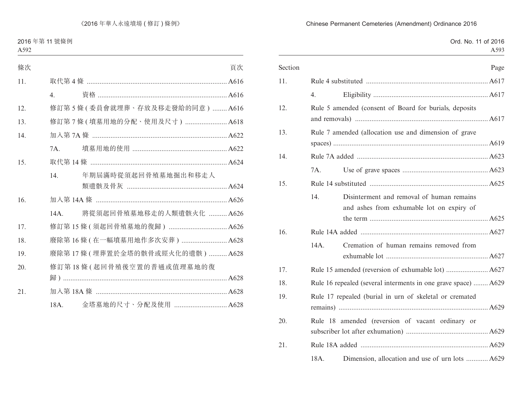# Ord. No. 11 of 2016 A593 Section Page 11. Rule 4 substituted ................................................................... A617 4. Eligibility ............................................................... A617 12. Rule 5 amended (consent of Board for burials, deposits and removals) ......................................................................... A617 13. Rule 7 amended (allocation use and dimension of grave spaces) ..................................................................................... A619 14. Rule 7A added ........................................................................ A623 7A. Use of grave spaces ............................................... A623 15. Rule 14 substituted ................................................................. A625 14. Disinterment and removal of human remains and ashes from exhumable lot on expiry of the term ................................................................. A625 16. Rule 14A added ...................................................................... A627 14A. Cremation of human remains removed from exhumable lot ........................................................ A627 17. Rule 15 amended (reversion of exhumable lot) ....................... A627 18. Rule 16 repealed (several interments in one grave space) ........ A629 19. Rule 17 repealed (burial in urn of skeletal or cremated remains) .................................................................................. A629 20. Rule 18 amended (reversion of vacant ordinary or subscriber lot after exhumation) ............................................. A629 21. Rule 18A added ...................................................................... A629

#### Chinese Permanent Cemeteries (Amendment) Ordinance 2016

18A. Dimension, allocation and use of urn lots ............ A629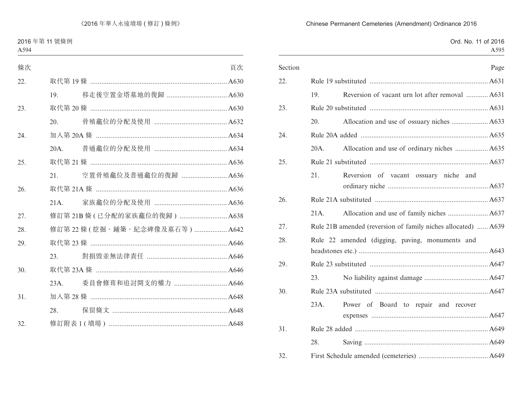# Ord. No. 11 of 2016 A595 Section Page 22. Rule 19 substituted ................................................................. A631 19. Reversion of vacant urn lot after removal ............ A631 23. Rule 20 substituted ................................................................. A631 20. Allocation and use of ossuary niches .................... A633 24. Rule 20A added ...................................................................... A635 20A. Allocation and use of ordinary niches .................. A635 25. Rule 21 substituted ................................................................. A637 21. Reversion of vacant ossuary niche and ordinary niche ....................................................... A637 26. Rule 21A substituted .............................................................. A637 21A. Allocation and use of family niches ...................... A637 27. Rule 21B amended (reversion of family niches allocated) ...... A639 28. Rule 22 amended (digging, paving, monuments and headstones etc.) ....................................................................... A643 29. Rule 23 substituted ................................................................. A647 23. No liability against damage ................................... A647 30. Rule 23A substituted .............................................................. A647 23A. Power of Board to repair and recover expenses ................................................................ A647 31. Rule 28 added ......................................................................... A649 28. Saving .................................................................... A649 32. First Schedule amended (cemeteries) ...................................... A649

#### Chinese Permanent Cemeteries (Amendment) Ordinance 2016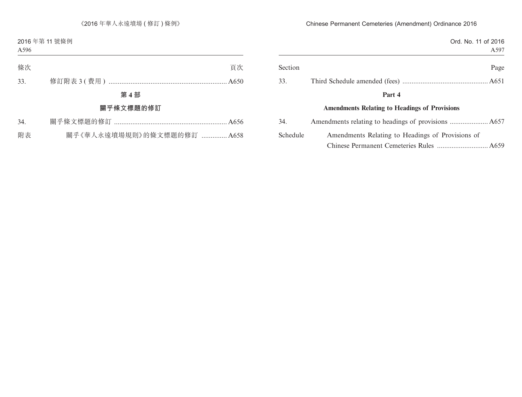| Ord. No. 11 of 2016                                  |          |
|------------------------------------------------------|----------|
| A597                                                 |          |
| Page                                                 | Section  |
|                                                      | 33.      |
| Part 4                                               |          |
| <b>Amendments Relating to Headings of Provisions</b> |          |
|                                                      | 34.      |
| Amendments Relating to Headings of Provisions of     | Schedule |
|                                                      |          |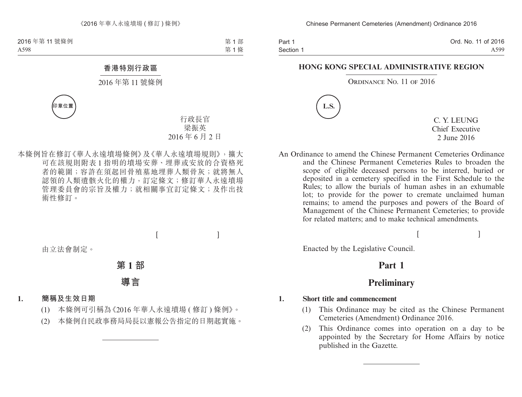Part 1 Section 1 Ord. No. 11 of 2016 A599

#### **HONG KONG SPECIAL ADMINISTRATIVE REGION**

#### ORDINANCE NO. 11 OF 2016



C. Y. LEUNG Chief Executive 2 June 2016

An Ordinance to amend the Chinese Permanent Cemeteries Ordinance and the Chinese Permanent Cemeteries Rules to broaden the scope of eligible deceased persons to be interred, buried or deposited in a cemetery specified in the First Schedule to the Rules; to allow the burials of human ashes in an exhumable lot; to provide for the power to cremate unclaimed human remains; to amend the purposes and powers of the Board of Management of the Chinese Permanent Cemeteries; to provide for related matters; and to make technical amendments.

 $[$   $]$ 

Enacted by the Legislative Council.

## **Part 1**

## **Preliminary**

#### **1. Short title and commencement**

- (1) This Ordinance may be cited as the Chinese Permanent Cemeteries (Amendment) Ordinance 2016.
- (2) This Ordinance comes into operation on a day to be appointed by the Secretary for Home Affairs by notice published in the Gazette.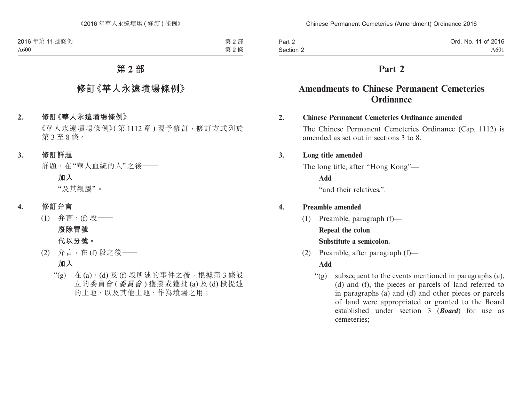| Part 2    | Ord. No. 11 of 2016 |
|-----------|---------------------|
| Section 2 | A601                |

## **Part 2**

## **Amendments to Chinese Permanent Cemeteries Ordinance**

#### **2. Chinese Permanent Cemeteries Ordinance amended**

The Chinese Permanent Cemeteries Ordinance (Cap. 1112) is amended as set out in sections 3 to 8.

#### **3. Long title amended**

The long title, after "Hong Kong"—

**Add**

"and their relatives,".

### **4. Preamble amended**

(1) Preamble, paragraph (f)—

#### **Repeal the colon**

#### **Substitute a semicolon.**

(2) Preamble, after paragraph (f)—

### **Add**

 $\mathcal{L}(g)$  subsequent to the events mentioned in paragraphs (a), (d) and (f), the pieces or parcels of land referred to in paragraphs (a) and (d) and other pieces or parcels of land were appropriated or granted to the Board established under section 3 (*Board*) for use as cemeteries;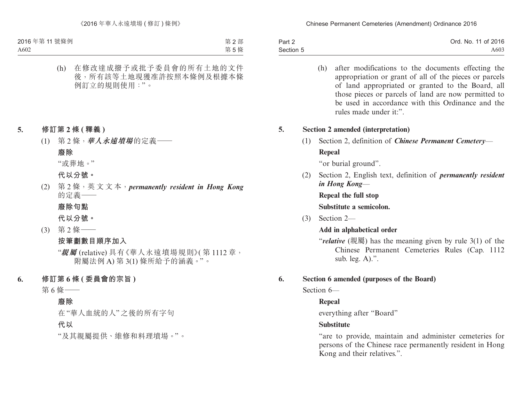| Part 2    | Ord. No. 11 of 2016 |
|-----------|---------------------|
| Section 5 | A603                |

(h) after modifications to the documents effecting the appropriation or grant of all of the pieces or parcels of land appropriated or granted to the Board, all those pieces or parcels of land are now permitted to be used in accordance with this Ordinance and the rules made under it:".

#### **5. Section 2 amended (interpretation)**

(1) Section 2, definition of *Chinese Permanent Cemetery*— **Repeal**

"or burial ground".

(2) Section 2, English text, definition of *permanently resident in Hong Kong*—

**Repeal the full stop**

**Substitute a semicolon.**

(3) Section 2—

#### **Add in alphabetical order**

"*relative* (親屬) has the meaning given by rule 3(1) of the Chinese Permanent Cemeteries Rules (Cap. 1112 sub. leg. A).".

#### **6. Section 6 amended (purposes of the Board)**

Section 6—

### **Repeal**

everything after "Board"

#### **Substitute**

"are to provide, maintain and administer cemeteries for persons of the Chinese race permanently resident in Hong Kong and their relatives.".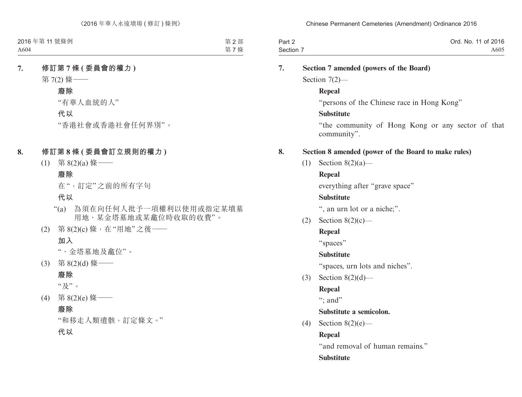| Part 2    | Ord. No. 11 of 2016 |
|-----------|---------------------|
| Section 7 | A605                |

| 7. |     | Section 7 amended (powers of the Board)                          |  |  |  |
|----|-----|------------------------------------------------------------------|--|--|--|
|    |     | Section $7(2)$ —                                                 |  |  |  |
|    |     | <b>Repeal</b>                                                    |  |  |  |
|    |     | "persons of the Chinese race in Hong Kong"                       |  |  |  |
|    |     | <b>Substitute</b>                                                |  |  |  |
|    |     | "the community of Hong Kong or any sector of that<br>community". |  |  |  |
| 8. |     | Section 8 amended (power of the Board to make rules)             |  |  |  |
|    | (1) | Section $8(2)(a)$ —                                              |  |  |  |
|    |     | <b>Repeal</b>                                                    |  |  |  |
|    |     | everything after "grave space"                                   |  |  |  |
|    |     | <b>Substitute</b>                                                |  |  |  |
|    |     | ", an urn lot or a niche;".                                      |  |  |  |
|    | (2) | Section $8(2)(c)$ —                                              |  |  |  |
|    |     | <b>Repeal</b>                                                    |  |  |  |
|    |     | "spaces"                                                         |  |  |  |
|    |     | <b>Substitute</b>                                                |  |  |  |
|    |     | "spaces, urn lots and niches".                                   |  |  |  |
|    | (3) | Section $8(2)(d)$ —                                              |  |  |  |
|    |     | <b>Repeal</b>                                                    |  |  |  |
|    |     | ": and"                                                          |  |  |  |
|    |     | Substitute a semicolon.                                          |  |  |  |
|    | (4) | Section $8(2)(e)$ —                                              |  |  |  |
|    |     | <b>Repeal</b>                                                    |  |  |  |
|    |     | "and removal of human remains."                                  |  |  |  |
|    |     | <b>Substitute</b>                                                |  |  |  |
|    |     |                                                                  |  |  |  |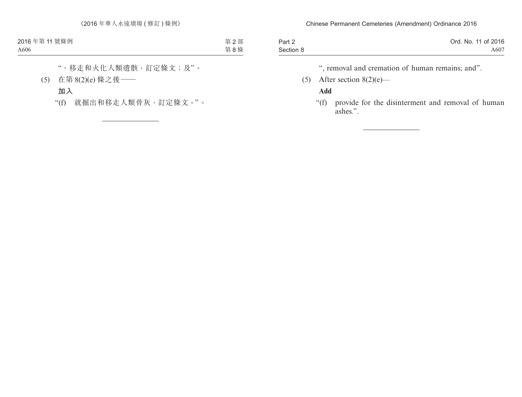| Part 2    | Ord. No. 11 of 2016 |
|-----------|---------------------|
| Section 8 | A607                |

", removal and cremation of human remains; and".

(5) After section  $8(2)(e)$ —

### **Add**

"(f) provide for the disinterment and removal of human ashes.".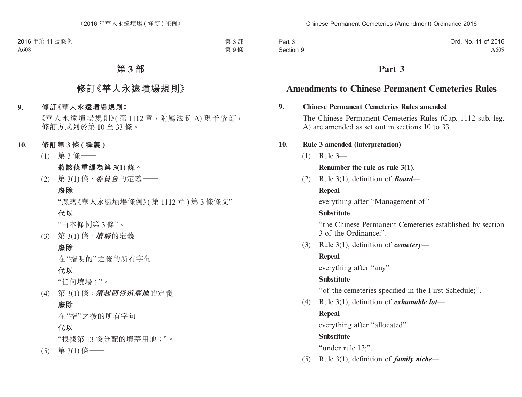| Part 3    | Ord. No. 11 of 2016 |
|-----------|---------------------|
| Section 9 | A609                |

## **Part 3**

## **Amendments to Chinese Permanent Cemeteries Rules**

#### **9. Chinese Permanent Cemeteries Rules amended**

The Chinese Permanent Cemeteries Rules (Cap. 1112 sub. leg. A) are amended as set out in sections 10 to 33.

### **10. Rule 3 amended (interpretation)**

(1) Rule 3—

### **Renumber the rule as rule 3(1).**

(2) Rule 3(1), definition of *Board*—

### **Repeal**

everything after "Management of"

### **Substitute**

"the Chinese Permanent Cemeteries established by section 3 of the Ordinance;".

(3) Rule 3(1), definition of *cemetery*—

### **Repeal**

everything after "any"

### **Substitute**

"of the cemeteries specified in the First Schedule;".

(4) Rule 3(1), definition of *exhumable lot*—

### **Repeal**

everything after "allocated"

### **Substitute**

"under rule 13;".

(5) Rule 3(1), definition of *family niche*—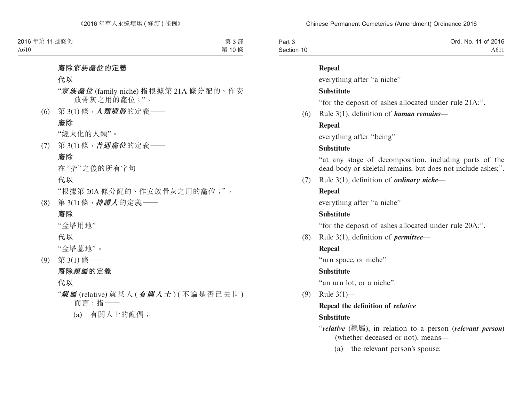| Part 3     | Ord. No. 11 of 2016 |
|------------|---------------------|
| Section 10 | A611                |

#### **Repeal**

everything after "a niche"

### **Substitute**

"for the deposit of ashes allocated under rule 21A;".

(6) Rule 3(1), definition of *human remains*—

### **Repeal**

everything after "being"

### **Substitute**

"at any stage of decomposition, including parts of the dead body or skeletal remains, but does not include ashes;".

(7) Rule 3(1), definition of *ordinary niche*—

### **Repeal**

everything after "a niche"

### **Substitute**

"for the deposit of ashes allocated under rule 20A;".

(8) Rule 3(1), definition of *permittee*—

### **Repeal**

"urn space, or niche"

### **Substitute**

"an urn lot, or a niche".

(9) Rule 3(1)—

### **Repeal the definition of** *relative*

## **Substitute**

"*relative* (親屬), in relation to a person (*relevant person*) (whether deceased or not), means—

(a) the relevant person's spouse;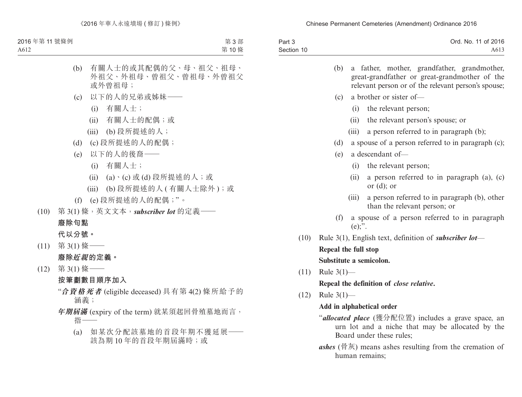| Part 3     | Ord. No. 11 of 2016 |
|------------|---------------------|
| Section 10 | A613                |

|      |                         | (b) a father, mother, grandfather, grandmother,                                                      |
|------|-------------------------|------------------------------------------------------------------------------------------------------|
|      |                         | great-grandfather or great-grandmother of the<br>relevant person or of the relevant person's spouse; |
|      | (c)                     | a brother or sister of-                                                                              |
|      |                         | (i) the relevant person;                                                                             |
|      |                         | (ii) the relevant person's spouse; or                                                                |
|      |                         | (iii) a person referred to in paragraph (b);                                                         |
|      | (d)                     | a spouse of a person referred to in paragraph (c);                                                   |
|      |                         | $(e)$ a descendant of-                                                                               |
|      |                         | (i) the relevant person;                                                                             |
|      |                         | (ii) a person referred to in paragraph (a), (c)<br>or $(d)$ ; or                                     |
|      | (iii)                   | a person referred to in paragraph (b), other<br>than the relevant person; or                         |
|      | $(e)$ ;".               | (f) a spouse of a person referred to in paragraph                                                    |
| (10) |                         | Rule 3(1), English text, definition of <i>subscriber lot</i> —                                       |
|      | Repeal the full stop    |                                                                                                      |
|      | Substitute a semicolon. |                                                                                                      |
|      | $(11)$ Rule $3(1)$ —    |                                                                                                      |
|      |                         | Repeal the definition of <i>close relative</i> .                                                     |

(12) Rule 3(1)—

 $(11)$ 

#### **Add in alphabetical order**

- "*allocated place* (獲分配位置) includes a grave space, an urn lot and a niche that may be allocated by the Board under these rules;
- *ashes* (骨灰) means ashes resulting from the cremation of human remains;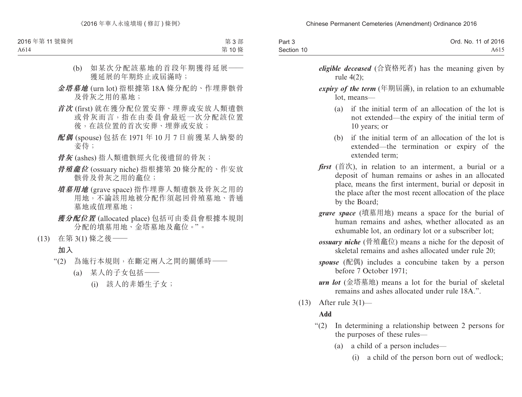| Part 3     | Ord. No. 11 of 2016 |
|------------|---------------------|
| Section 10 | A615                |

*eligible deceased* (合資格死者) has the meaning given by rule 4(2);

*expiry of the term* (年期屆滿), in relation to an exhumable lot, means—

- (a) if the initial term of an allocation of the lot is not extended—the expiry of the initial term of 10 years; or
- (b) if the initial term of an allocation of the lot is extended—the termination or expiry of the extended term;
- *first* (首次), in relation to an interment, a burial or a deposit of human remains or ashes in an allocated place, means the first interment, burial or deposit in the place after the most recent allocation of the place by the Board;
- *grave space* (墳墓用地) means a space for the burial of human remains and ashes, whether allocated as an exhumable lot, an ordinary lot or a subscriber lot;
- *ossuary niche* (骨殖龕位) means a niche for the deposit of skeletal remains and ashes allocated under rule 20;
- *spouse* (配偶) includes a concubine taken by a person before 7 October 1971;
- *urn lot* (金塔墓地) means a lot for the burial of skeletal remains and ashes allocated under rule 18A.".
- (13) After rule 3(1)—

### **Add**

- "(2) In determining a relationship between 2 persons for the purposes of these rules—
	- (a) a child of a person includes—
		- (i) a child of the person born out of wedlock;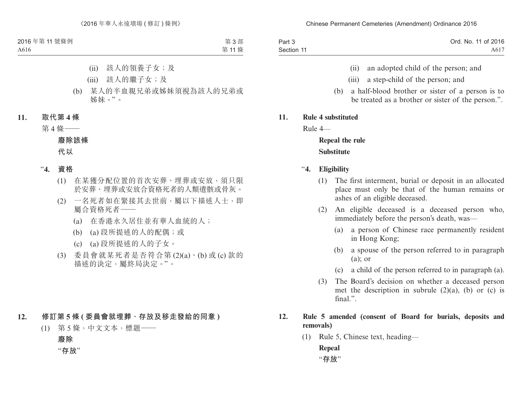| Part 3     | Ord. No. 11 of 2016 |
|------------|---------------------|
| Section 11 | A617                |

- (ii) an adopted child of the person; and
- (iii) a step-child of the person; and
- (b) a half-blood brother or sister of a person is to be treated as a brother or sister of the person.".

#### **11. Rule 4 substituted**

Rule 4—

## **Repeal the rule Substitute**

- "**4. Eligibility**
	- (1) The first interment, burial or deposit in an allocated place must only be that of the human remains or ashes of an eligible deceased.
	- (2) An eligible deceased is a deceased person who, immediately before the person's death, was—
		- (a) a person of Chinese race permanently resident in Hong Kong;
		- (b) a spouse of the person referred to in paragraph  $(a)$ ; or
		- (c) a child of the person referred to in paragraph (a).
	- (3) The Board's decision on whether a deceased person met the description in subrule  $(2)(a)$ ,  $(b)$  or  $(c)$  is final.".

### **12. Rule 5 amended (consent of Board for burials, deposits and removals)**

(1) Rule 5, Chinese text, heading— **Repeal** "**存放**"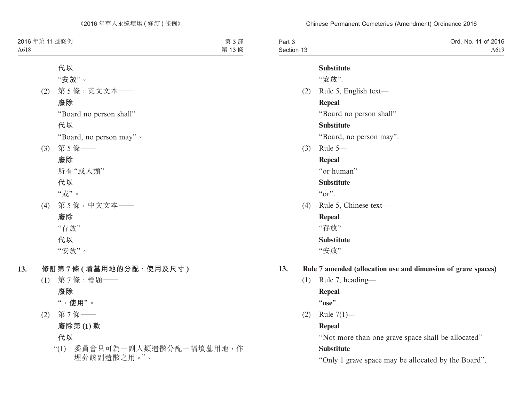| Part 3     | Ord. No. 11 of 2016 |
|------------|---------------------|
| Section 13 | A619                |

#### **Substitute**

"**安放**".

- (2) Rule 5, English text— **Repeal** "Board no person shall" **Substitute** "Board, no person may".
- (3) Rule 5—

### **Repeal**

"or human"

### **Substitute**

 $\alpha$ ".

(4) Rule 5, Chinese text—

### **Repeal**

"存放"

### **Substitute**

"安放".

### **13. Rule 7 amended (allocation use and dimension of grave spaces)**

(1) Rule 7, heading—

### **Repeal**

"**use**".

(2) Rule 7(1)—

### **Repeal**

"Not more than one grave space shall be allocated"

### **Substitute**

"Only 1 grave space may be allocated by the Board".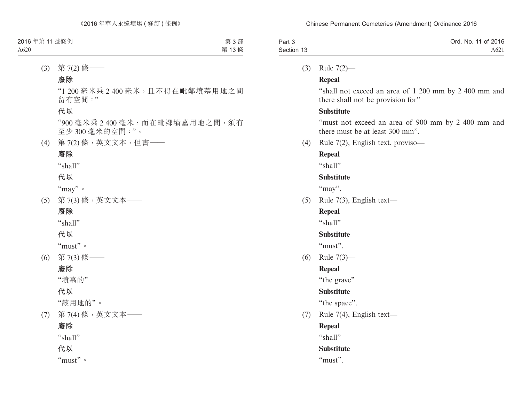| Part 3     | Ord. No. 11 of 2016 |
|------------|---------------------|
| Section 13 | A621                |

(3) Rule 7(2)—

### **Repeal**

"shall not exceed an area of 1 200 mm by 2 400 mm and there shall not be provision for"

### **Substitute**

"must not exceed an area of 900 mm by 2 400 mm and there must be at least 300 mm".

(4) Rule 7(2), English text, proviso—

### **Repeal**

"shall"

### **Substitute**

"may".

(5) Rule 7(3), English text—

### **Repeal**

"shall"

### **Substitute**

"must".

(6) Rule 7(3)—

### **Repeal**

"the grave"

### **Substitute**

"the space".

(7) Rule 7(4), English text—

### **Repeal**

"shall"

### **Substitute**

"must".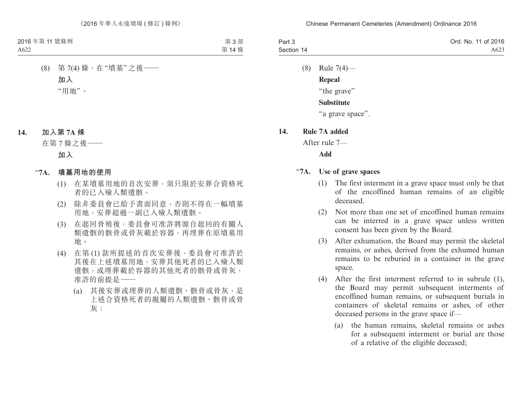| Part 3     | Ord. No. 11 of 2016 |
|------------|---------------------|
| Section 14 | A623                |

(8) Rule 7(4)— **Repeal** "the grave" **Substitute**

"a grave space".

#### **14. Rule 7A added**

After rule 7—

**Add**

#### "**7A. Use of grave spaces**

- (1) The first interment in a grave space must only be that of the encoffined human remains of an eligible deceased.
- (2) Not more than one set of encoffined human remains can be interred in a grave space unless written consent has been given by the Board.
- (3) After exhumation, the Board may permit the skeletal remains, or ashes, derived from the exhumed human remains to be reburied in a container in the grave space.
- (4) After the first interment referred to in subrule (1), the Board may permit subsequent interments of encoffined human remains, or subsequent burials in containers of skeletal remains or ashes, of other deceased persons in the grave space if—
	- (a) the human remains, skeletal remains or ashes for a subsequent interment or burial are those of a relative of the eligible deceased;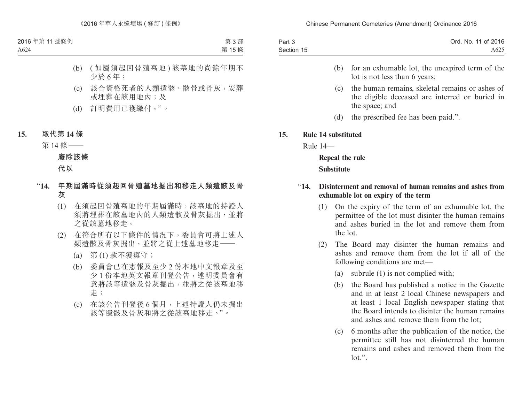| Part 3     | Ord. No. 11 of 2016 |
|------------|---------------------|
| Section 15 | A625                |

- (b) for an exhumable lot, the unexpired term of the lot is not less than 6 years;
- (c) the human remains, skeletal remains or ashes of the eligible deceased are interred or buried in the space; and
- (d) the prescribed fee has been paid.".

#### **15. Rule 14 substituted**

Rule 14—

**Repeal the rule Substitute**

### "**14. Disinterment and removal of human remains and ashes from exhumable lot on expiry of the term**

- (1) On the expiry of the term of an exhumable lot, the permittee of the lot must disinter the human remains and ashes buried in the lot and remove them from the lot.
- (2) The Board may disinter the human remains and ashes and remove them from the lot if all of the following conditions are met—
	- (a) subrule (1) is not complied with;
	- (b) the Board has published a notice in the Gazette and in at least 2 local Chinese newspapers and at least 1 local English newspaper stating that the Board intends to disinter the human remains and ashes and remove them from the lot;
	- (c) 6 months after the publication of the notice, the permittee still has not disinterred the human remains and ashes and removed them from the  $lot."$ .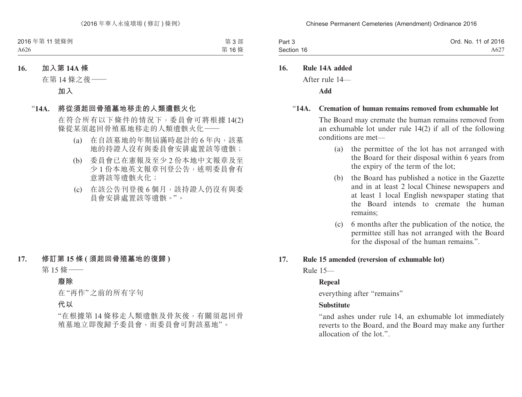| Part 3     | Ord. No. 11 of 2016 |
|------------|---------------------|
| Section 16 | A627                |

**16. Rule 14A added**

After rule 14—

**Add**

#### "**14A. Cremation of human remains removed from exhumable lot**

The Board may cremate the human remains removed from an exhumable lot under rule 14(2) if all of the following conditions are met—

- (a) the permittee of the lot has not arranged with the Board for their disposal within 6 years from the expiry of the term of the lot;
- (b) the Board has published a notice in the Gazette and in at least 2 local Chinese newspapers and at least 1 local English newspaper stating that the Board intends to cremate the human remains;
- (c) 6 months after the publication of the notice, the permittee still has not arranged with the Board for the disposal of the human remains.".

#### **17. Rule 15 amended (reversion of exhumable lot)**

Rule 15—

### **Repeal**

everything after "remains"

### **Substitute**

"and ashes under rule 14, an exhumable lot immediately reverts to the Board, and the Board may make any further allocation of the lot."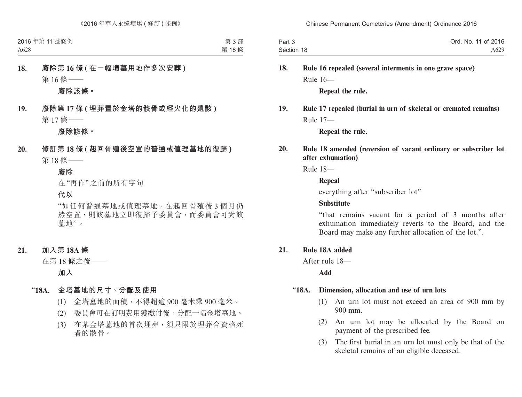| Part 3     | Ord. No. 11 of 2016 |
|------------|---------------------|
| Section 18 | A629                |

## **18. Rule 16 repealed (several interments in one grave space)** Rule 16—

**Repeal the rule.**

### **19. Rule 17 repealed (burial in urn of skeletal or cremated remains)** Rule 17—

**Repeal the rule.**

### **20. Rule 18 amended (reversion of vacant ordinary or subscriber lot after exhumation)**

Rule 18—

#### **Repeal**

everything after "subscriber lot"

#### **Substitute**

"that remains vacant for a period of 3 months after exhumation immediately reverts to the Board, and the Board may make any further allocation of the lot.".

#### **21. Rule 18A added**

After rule 18—

**Add**

#### "**18A. Dimension, allocation and use of urn lots**

- (1) An urn lot must not exceed an area of 900 mm by 900 mm.
- (2) An urn lot may be allocated by the Board on payment of the prescribed fee.
- (3) The first burial in an urn lot must only be that of the skeletal remains of an eligible deceased.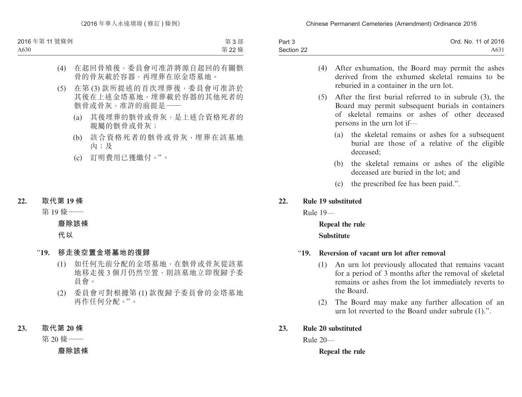| Part 3     | Ord. No. 11 of 2016 |
|------------|---------------------|
| Section 22 | A631                |

- (4) After exhumation, the Board may permit the ashes derived from the exhumed skeletal remains to be reburied in a container in the urn lot.
- (5) After the first burial referred to in subrule (3), the Board may permit subsequent burials in containers of skeletal remains or ashes of other deceased persons in the urn lot if—
	- (a) the skeletal remains or ashes for a subsequent burial are those of a relative of the eligible deceased;
	- (b) the skeletal remains or ashes of the eligible deceased are buried in the lot; and
	- (c) the prescribed fee has been paid.".

#### **22. Rule 19 substituted**

Rule 19—

**Repeal the rule Substitute**

#### "**19. Reversion of vacant urn lot after removal**

- (1) An urn lot previously allocated that remains vacant for a period of 3 months after the removal of skeletal remains or ashes from the lot immediately reverts to the Board.
- (2) The Board may make any further allocation of an urn lot reverted to the Board under subrule (1).".

#### **23. Rule 20 substituted**

Rule 20—

#### **Repeal the rule**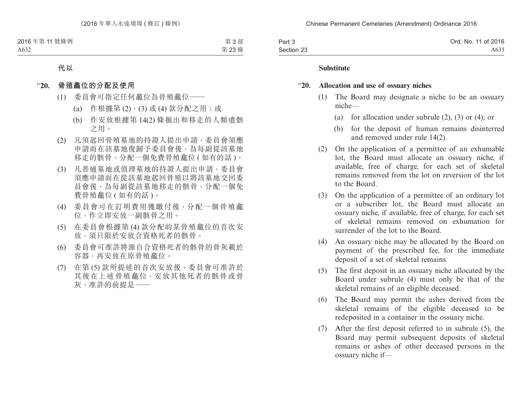| Part 3     | Ord. No. 11 of 2016 |
|------------|---------------------|
| Section 23 | A633                |

#### **Substitute**

#### "**20. Allocation and use of ossuary niches**

- (1) The Board may designate a niche to be an ossuary niche—
	- (a) for allocation under subrule (2), (3) or (4); or
	- (b) for the deposit of human remains disinterred and removed under rule 14(2).
- (2) On the application of a permittee of an exhumable lot, the Board must allocate an ossuary niche, if available, free of charge, for each set of skeletal remains removed from the lot on reversion of the lot to the Board.
- (3) On the application of a permittee of an ordinary lot or a subscriber lot, the Board must allocate an ossuary niche, if available, free of charge, for each set of skeletal remains removed on exhumation for surrender of the lot to the Board.
- (4) An ossuary niche may be allocated by the Board on payment of the prescribed fee, for the immediate deposit of a set of skeletal remains.
- (5) The first deposit in an ossuary niche allocated by the Board under subrule (4) must only be that of the skeletal remains of an eligible deceased.
- (6) The Board may permit the ashes derived from the skeletal remains of the eligible deceased to be redeposited in a container in the ossuary niche.
- (7) After the first deposit referred to in subrule (5), the Board may permit subsequent deposits of skeletal remains or ashes of other deceased persons in the ossuary niche if—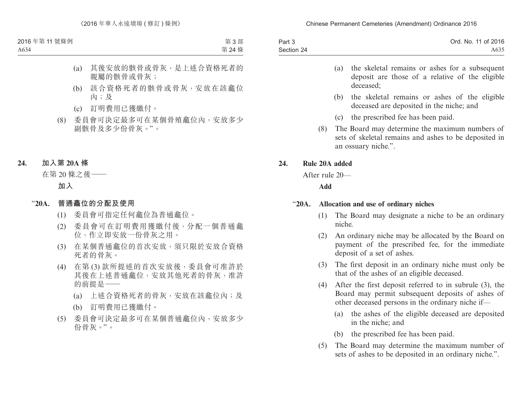| Part 3     | Ord. No. 11 of 2016 |
|------------|---------------------|
| Section 24 | A635                |

- (a) the skeletal remains or ashes for a subsequent deposit are those of a relative of the eligible deceased;
- (b) the skeletal remains or ashes of the eligible deceased are deposited in the niche; and
- (c) the prescribed fee has been paid.
- (8) The Board may determine the maximum numbers of sets of skeletal remains and ashes to be deposited in an ossuary niche.".

### **24. Rule 20A added**

After rule 20—

**Add**

#### "**20A. Allocation and use of ordinary niches**

- (1) The Board may designate a niche to be an ordinary niche.
- (2) An ordinary niche may be allocated by the Board on payment of the prescribed fee, for the immediate deposit of a set of ashes.
- (3) The first deposit in an ordinary niche must only be that of the ashes of an eligible deceased.
- (4) After the first deposit referred to in subrule (3), the Board may permit subsequent deposits of ashes of other deceased persons in the ordinary niche if—
	- (a) the ashes of the eligible deceased are deposited in the niche; and
	- (b) the prescribed fee has been paid.
- (5) The Board may determine the maximum number of sets of ashes to be deposited in an ordinary niche.".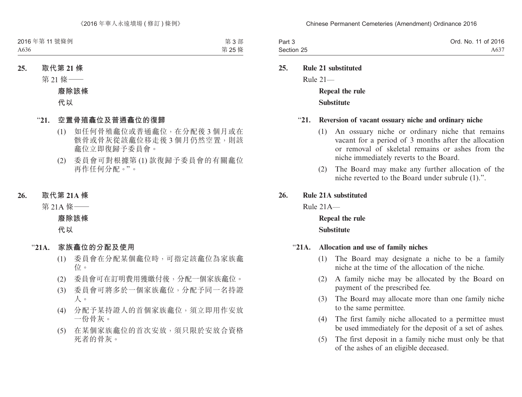| Part 3     | Ord. No. 11 of 2016 |
|------------|---------------------|
| Section 25 | A637                |

**25. Rule 21 substituted** Rule 21—

> **Repeal the rule Substitute**

#### "**21. Reversion of vacant ossuary niche and ordinary niche**

- (1) An ossuary niche or ordinary niche that remains vacant for a period of 3 months after the allocation or removal of skeletal remains or ashes from the niche immediately reverts to the Board.
- (2) The Board may make any further allocation of the niche reverted to the Board under subrule (1).".

#### **26. Rule 21A substituted**

Rule 21A—

**Repeal the rule Substitute**

#### "**21A. Allocation and use of family niches**

- (1) The Board may designate a niche to be a family niche at the time of the allocation of the niche.
- (2) A family niche may be allocated by the Board on payment of the prescribed fee.
- (3) The Board may allocate more than one family niche to the same permittee.
- (4) The first family niche allocated to a permittee must be used immediately for the deposit of a set of ashes.
- (5) The first deposit in a family niche must only be that of the ashes of an eligible deceased.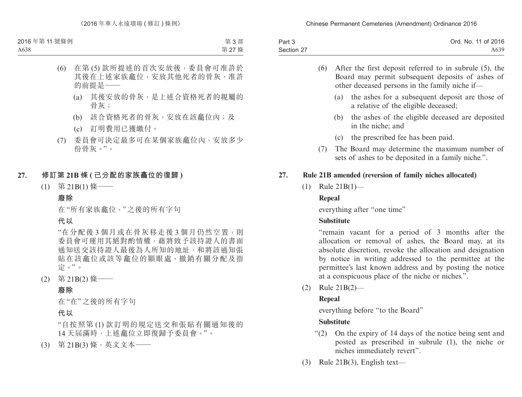| Part 3     | Ord. No. 11 of 2016 |
|------------|---------------------|
| Section 27 | A <sub>6</sub> 39   |

- (6) After the first deposit referred to in subrule (5), the Board may permit subsequent deposits of ashes of other deceased persons in the family niche if—
	- (a) the ashes for a subsequent deposit are those of a relative of the eligible deceased;
	- (b) the ashes of the eligible deceased are deposited in the niche; and
	- (c) the prescribed fee has been paid.
- (7) The Board may determine the maximum number of sets of ashes to be deposited in a family niche.".

### **27. Rule 21B amended (reversion of family niches allocated)**

(1) Rule 21B(1)—

### **Repeal**

everything after "one time"

### **Substitute**

"remain vacant for a period of 3 months after the allocation or removal of ashes, the Board may, at its absolute discretion, revoke the allocation and designation by notice in writing addressed to the permittee at the permittee's last known address and by posting the notice at a conspicuous place of the niche or niches.".

(2) Rule 21B(2)—

## **Repeal**

everything before "to the Board"

### **Substitute**

- "(2) On the expiry of 14 days of the notice being sent and posted as prescribed in subrule (1), the niche or niches immediately revert".
- (3) Rule 21B(3), English text—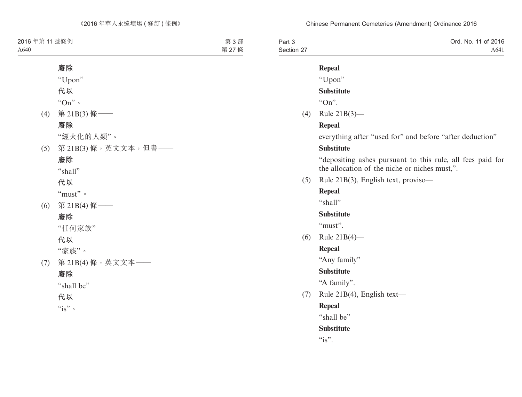| Part 3     | Ord. No. 11 of 2016 |
|------------|---------------------|
| Section 27 | A641                |

#### **Repeal**

### "Upon"

### **Substitute**

" $On"$ 

(4) Rule 21B(3)—

### **Repeal**

everything after "used for" and before "after deduction"

#### **Substitute**

"depositing ashes pursuant to this rule, all fees paid for the allocation of the niche or niches must,".

(5) Rule 21B(3), English text, proviso—

### **Repeal**

"shall"

### **Substitute**

"must"

(6) Rule 21B(4)—

### **Repeal**

"Any family"

### **Substitute**

"A family".

(7) Rule 21B(4), English text—

## **Repeal**

"shall be"

### **Substitute**

 $``is"$ .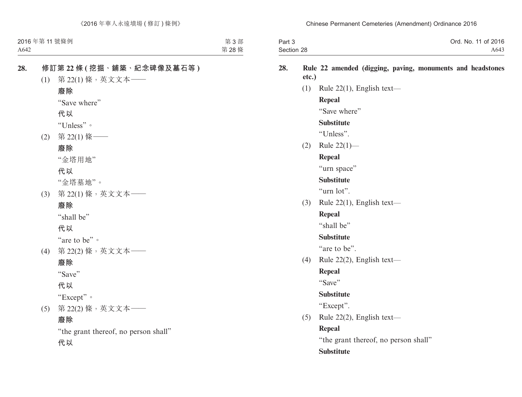| Part 3     | Ord. No. 11 of 2016 |
|------------|---------------------|
| Section 28 | A643                |

#### **28. Rule 22 amended (digging, paving, monuments and headstones etc.)**

(1) Rule  $22(1)$ , English text—

### **Repeal**

"Save where"

#### **Substitute**

"Unless".

(2) Rule 22(1)—

### **Repeal**

"urn space"

### **Substitute**

"urn lot".

(3) Rule 22(1), English text—

#### **Repeal**

"shall be"

#### **Substitute**

"are to be".

(4) Rule 22(2), English text—

### **Repeal**

"Save"

#### **Substitute**

"Except".

(5) Rule 22(2), English text—

### **Repeal**

"the grant thereof, no person shall"

### **Substitute**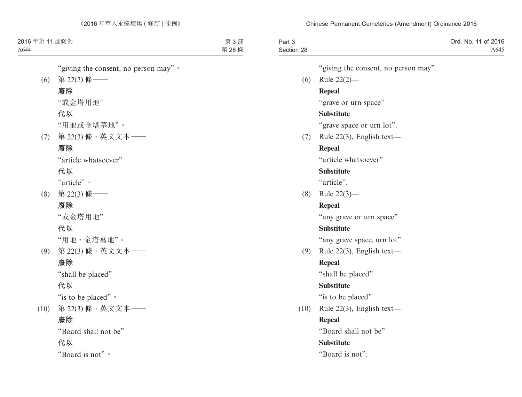| Part 3     | Ord. No. 11 of 2016 |
|------------|---------------------|
| Section 28 | A645                |

"giving the consent, no person may".

(6) Rule 22(2)—

### **Repeal**

"grave or urn space"

### **Substitute**

"grave space or urn lot".

(7) Rule 22(3), English text—

### **Repeal**

"article whatsoever"

#### **Substitute**

"article".

(8) Rule 22(3)—

### **Repeal**

"any grave or urn space"

### **Substitute**

"any grave space, urn lot".

(9) Rule 22(3), English text—

### **Repeal**

"shall be placed"

### **Substitute**

"is to be placed".

(10) Rule 22(3), English text—

### **Repeal**

"Board shall not be"

### **Substitute**

"Board is not".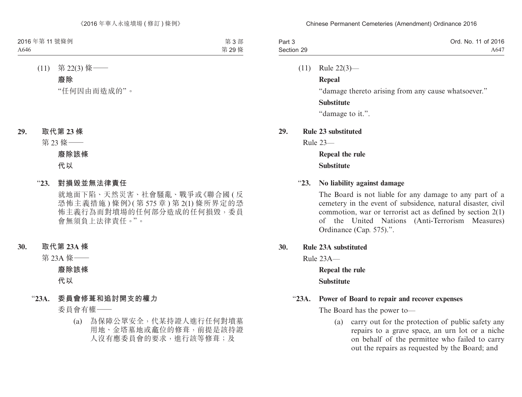| Part 3     | Ord. No. 11 of 2016 |
|------------|---------------------|
| Section 29 | A647                |

(11) Rule 22(3)—

**Repeal**

"damage thereto arising from any cause whatsoever."

#### **Substitute**

"damage to it.".

#### **29. Rule 23 substituted**

Rule 23—

## **Repeal the rule Substitute**

#### "**23. No liability against damage**

The Board is not liable for any damage to any part of a cemetery in the event of subsidence, natural disaster, civil commotion, war or terrorist act as defined by section 2(1) of the United Nations (Anti-Terrorism Measures) Ordinance (Cap. 575).".

**30. Rule 23A substituted**

Rule 23A—

**Repeal the rule Substitute**

#### "**23A. Power of Board to repair and recover expenses**

The Board has the power to—

(a) carry out for the protection of public safety any repairs to a grave space, an urn lot or a niche on behalf of the permittee who failed to carry out the repairs as requested by the Board; and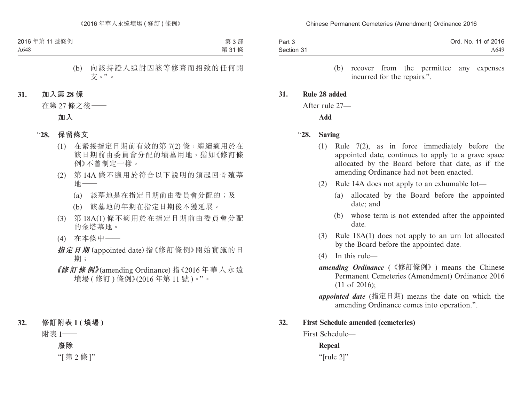| Part 3     | Ord. No. 11 of 2016 |
|------------|---------------------|
| Section 31 | A649                |

(b) recover from the permittee any expenses incurred for the repairs.".

#### **31. Rule 28 added**

After rule 27—

**Add**

#### "**28. Saving**

- (1) Rule 7(2), as in force immediately before the appointed date, continues to apply to a grave space allocated by the Board before that date, as if the amending Ordinance had not been enacted.
- (2) Rule 14A does not apply to an exhumable lot—
	- (a) allocated by the Board before the appointed date; and
	- (b) whose term is not extended after the appointed date.
- (3) Rule 18A(1) does not apply to an urn lot allocated by the Board before the appointed date.
- (4) In this rule—
- *amending Ordinance* (《修訂條例》) means the Chinese Permanent Cemeteries (Amendment) Ordinance 2016 (11 of 2016);
- *appointed date* (指定日期) means the date on which the amending Ordinance comes into operation.".

#### **32. First Schedule amended (cemeteries)**

First Schedule—

#### **Repeal**

"[rule 2]"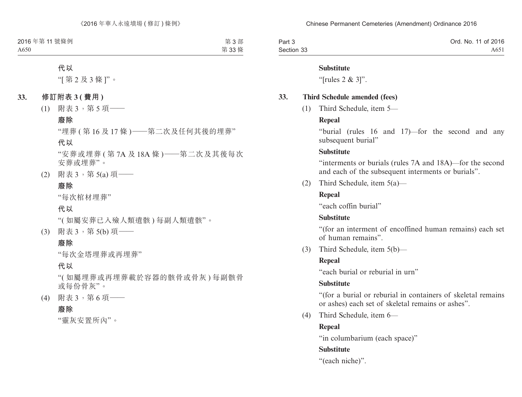| Part 3     | Ord. No. 11 of 2016 |
|------------|---------------------|
| Section 33 | A651                |

#### **Substitute**

"[rules 2 & 3]".

#### **33. Third Schedule amended (fees)**

(1) Third Schedule, item 5—

#### **Repeal**

"burial (rules 16 and 17)—for the second and any subsequent burial"

#### **Substitute**

"interments or burials (rules 7A and 18A)—for the second and each of the subsequent interments or burials".

(2) Third Schedule, item 5(a)—

### **Repeal**

"each coffin burial"

### **Substitute**

"(for an interment of encoffined human remains) each set of human remains".

(3) Third Schedule, item 5(b)—

### **Repeal**

"each burial or reburial in urn"

### **Substitute**

"(for a burial or reburial in containers of skeletal remains or ashes) each set of skeletal remains or ashes".

(4) Third Schedule, item 6—

### **Repeal**

"in columbarium (each space)"

### **Substitute**

"(each niche)".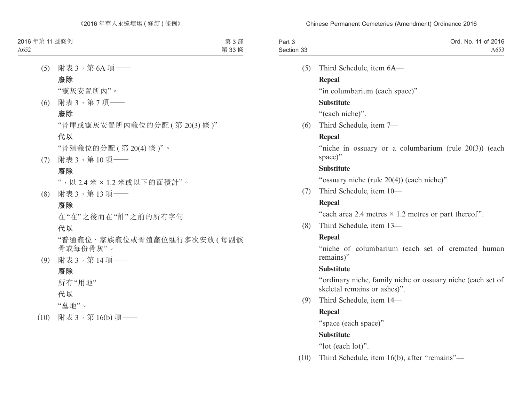| Part 3     | Ord. No. 11 of 2016 |
|------------|---------------------|
| Section 33 | A653                |

(5) Third Schedule, item 6A—

### **Repeal**

"in columbarium (each space)"

### **Substitute**

"(each niche)".

(6) Third Schedule, item 7—

### **Repeal**

"niche in ossuary or a columbarium (rule 20(3)) (each space)"

### **Substitute**

"ossuary niche (rule 20(4)) (each niche)".

(7) Third Schedule, item 10—

### **Repeal**

"each area 2.4 metres  $\times$  1.2 metres or part thereof".

(8) Third Schedule, item 13—

## **Repeal**

"niche of columbarium (each set of cremated human remains)"

### **Substitute**

"ordinary niche, family niche or ossuary niche (each set of skeletal remains or ashes)".

(9) Third Schedule, item 14—

### **Repeal**

"space (each space)"

### **Substitute**

"lot (each lot)".

(10) Third Schedule, item 16(b), after "remains"—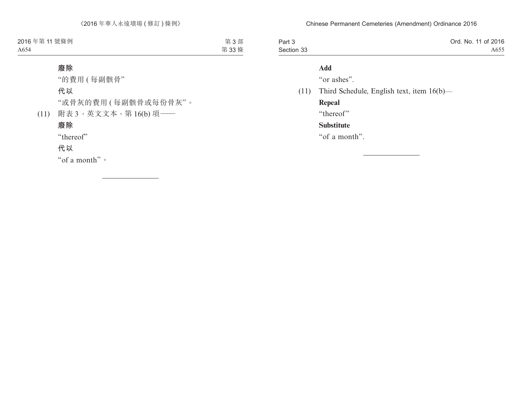| Part 3     | Ord. No. 11 of 2016 |
|------------|---------------------|
| Section 33 | A655                |

### **Add**

"or ashes".

### (11) Third Schedule, English text, item 16(b)—

**Repeal** "thereof" **Substitute** "of a month".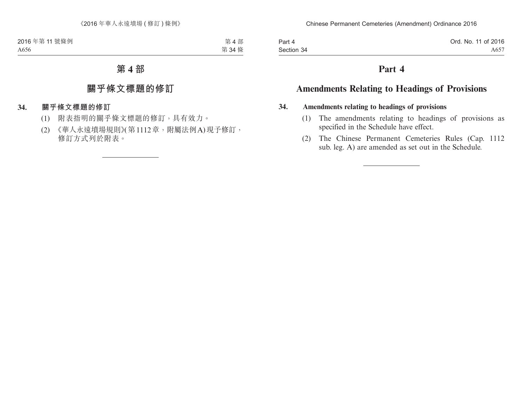| Part 4     | Ord. No. 11 of 2016 |
|------------|---------------------|
| Section 34 | A657                |

## **Part 4**

## **Amendments Relating to Headings of Provisions**

#### **34. Amendments relating to headings of provisions**

- (1) The amendments relating to headings of provisions as specified in the Schedule have effect.
- (2) The Chinese Permanent Cemeteries Rules (Cap. 1112 sub. leg. A) are amended as set out in the Schedule.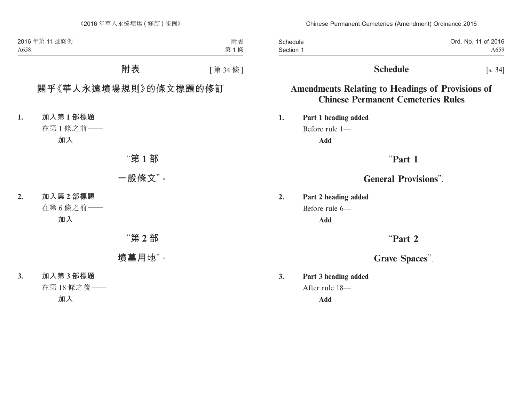| Schedule  | Ord. No. 11 of 2016 |
|-----------|---------------------|
| Section 1 | A659                |

## **Schedule** [s. 34]

## **Amendments Relating to Headings of Provisions of Chinese Permanent Cemeteries Rules**

**1. Part 1 heading added** Before rule 1— **Add**

## "**Part 1**

## **General Provisions**".

**2. Part 2 heading added** Before rule 6— **Add**

## "**Part 2**

## **Grave Spaces**".

**3. Part 3 heading added** After rule 18—

**Add**